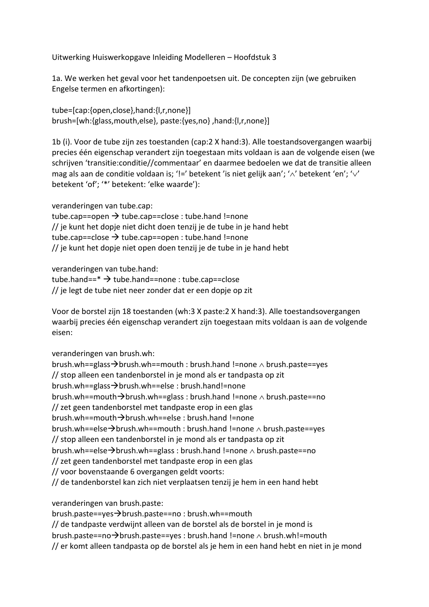Uitwerking Huiswerkopgave Inleiding Modelleren – Hoofdstuk 3

1a. We werken het geval voor het tandenpoetsen uit. De concepten zijn (we gebruiken Engelse termen en afkortingen):

tube=[cap:{open,close},hand:{l,r,none}] brush=[wh:{glass,mouth,else}, paste:{yes,no} ,hand:{l,r,none}]

1b (i). Voor de tube zijn zes toestanden (cap:2 X hand:3). Alle toestandsovergangen waarbij precies één eigenschap verandert zijn toegestaan mits voldaan is aan de volgende eisen (we schrijven 'transitie:conditie//commentaar' en daarmee bedoelen we dat de transitie alleen mag als aan de conditie voldaan is; '!=' betekent 'is niet gelijk aan'; ' $\wedge$ ' betekent 'en'; ' $\vee$ ' betekent 'of'; '\*' betekent: 'elke waarde'):

veranderingen van tube.cap:

tube.cap==open  $\rightarrow$  tube.cap==close : tube.hand !=none // je kunt het dopje niet dicht doen tenzij je de tube in je hand hebt tube.cap==close  $\rightarrow$  tube.cap==open : tube.hand !=none // je kunt het dopje niet open doen tenzij je de tube in je hand hebt

veranderingen van tube.hand:

tube.hand== $*$   $\rightarrow$  tube.hand==none : tube.cap==close // je legt de tube niet neer zonder dat er een dopje op zit

Voor de borstel zijn 18 toestanden (wh:3 X paste:2 X hand:3). Alle toestandsovergangen waarbij precies één eigenschap verandert zijn toegestaan mits voldaan is aan de volgende eisen:

veranderingen van brush.wh:

brush.wh==glass $\rightarrow$ brush.wh==mouth : brush.hand !=none  $\land$  brush.paste==yes // stop alleen een tandenborstel in je mond als er tandpasta op zit brush.wh==glass $\rightarrow$ brush.wh==else : brush.hand!=none brush.wh==mouth $\rightarrow$ brush.wh==glass : brush.hand !=none  $\land$  brush.paste==no // zet geen tandenborstel met tandpaste erop in een glas brush.wh==mouth $\rightarrow$ brush.wh==else : brush.hand !=none brush.wh==else $\rightarrow$ brush.wh==mouth : brush.hand !=none  $\land$  brush.paste==yes // stop alleen een tandenborstel in je mond als er tandpasta op zit brush.wh==else $\rightarrow$ brush.wh==glass : brush.hand !=none  $\wedge$  brush.paste==no // zet geen tandenborstel met tandpaste erop in een glas // voor bovenstaande 6 overgangen geldt voorts: // de tandenborstel kan zich niet verplaatsen tenzij je hem in een hand hebt

veranderingen van brush.paste:

brush.paste==yes $\rightarrow$ brush.paste==no : brush.wh==mouth

// de tandpaste verdwijnt alleen van de borstel als de borstel in je mond is

brush.paste==no $\rightarrow$ brush.paste==yes : brush.hand !=none  $\land$  brush.wh!=mouth

// er komt alleen tandpasta op de borstel als je hem in een hand hebt en niet in je mond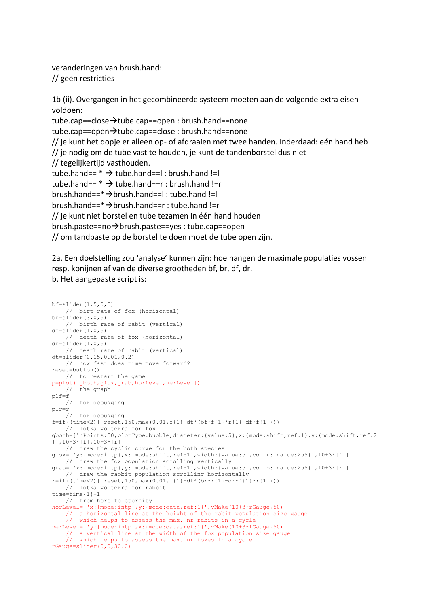veranderingen van brush.hand: // geen restricties

1b (ii). Overgangen in het gecombineerde systeem moeten aan de volgende extra eisen voldoen:

tube.cap==close $\rightarrow$ tube.cap==open : brush.hand==none tube.cap==open $\rightarrow$ tube.cap==close : brush.hand==none // je kunt het dopje er alleen op- of afdraaien met twee handen. Inderdaad: eén hand heb // je nodig om de tube vast te houden, je kunt de tandenborstel dus niet // tegelijkertijd vasthouden. tube.hand==  $*$   $\rightarrow$  tube.hand==1 : brush.hand !=1 tube.hand==  $*$   $\rightarrow$  tube.hand==r : brush.hand !=r brush.hand==\*brush.hand==l : tube.hand !=l brush.hand==\*brush.hand==r : tube.hand !=r // je kunt niet borstel en tube tezamen in één hand houden brush.paste==no $\rightarrow$ brush.paste==yes : tube.cap==open // om tandpaste op de borstel te doen moet de tube open zijn.

2a. Een doelstelling zou 'analyse' kunnen zijn: hoe hangen de maximale populaties vossen resp. konijnen af van de diverse grootheden bf, br, df, dr. b. Het aangepaste script is:

```
bf=slider(1.5,0,5)
    // birt rate of fox (horizontal) 
br=slider(3,0,5)
    // birth rate of rabit (vertical) 
df=slider(1,0.5) // death rate of fox (horizontal) 
dr=slider(1,0,5) // death rate of rabit (vertical) 
dt=slider(0.15,0.01,0.2)
    // how fast does time move forward? 
reset=button()
     // to restart the game 
p=plot([gboth,gfox,grab,horLevel,verLevel])
     // the graph 
plf=f
     // for debugging 
plr=r
    // for debugging 
f=if((time<2)||reset,150,max(0.01,f{1}+dt*(bf*f{1})*r{1}-df*f{1}))) // lotka volterra for fox 
gboth=['nPoints:50,plotType:bubble,diameter:{value:5},x:{mode:shift,ref:1},y:{mode:shift,ref:2
}',10+3*[f],10+3*[r]]
    // draw the cyclic curve for the both species 
gfox=['y:{mode:intp},x:{mode:shift,ref:1},width:{value:5},col_r:{value:255}',10+3*[f]]
    // draw the fox population scrolling vertically 
grab=['x:{mode:intp},y:{mode:shift,ref:1},width:{value:5},col_b:{value:255}',10+3*[r]]
    // draw the rabbit population scrolling horizontally 
r=if((time<2)||reset, 150, max(0.01, r{1}+dt*(br*r{1}-dr*f{1}*r{1}))) // lotka volterra for rabbit 
time=time{1}+1
    // from here to eternity 
horLevel=['x:{mode:intp},y:{mode:data,ref:1}',vMake(10+3*rGauge,50)]
 // a horizontal line at the height of the rabit population size gauge
 // which helps to assess the max. nr rabits in a cycle 
verLevel=['y:{mode:intp},x:{mode:data,ref:1}',vMake(10+3*fGauge,50)]
    // a vertical line at the width of the fox population size gauge
     // which helps to assess the max. nr foxes in a cycle 
rGauge=slider(0,0,30.0)
```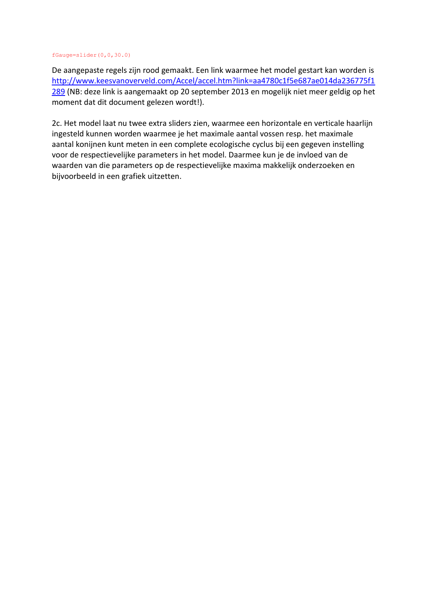## fGauge=slider(0,0,30.0)

De aangepaste regels zijn rood gemaakt. Een link waarmee het model gestart kan worden is [http://www.keesvanoverveld.com/Accel/accel.htm?link=aa4780c1f5e687ae014da236775f1](http://www.keesvanoverveld.com/Accel/accel.htm?link=aa4780c1f5e687ae014da236775f1289) [289](http://www.keesvanoverveld.com/Accel/accel.htm?link=aa4780c1f5e687ae014da236775f1289) (NB: deze link is aangemaakt op 20 september 2013 en mogelijk niet meer geldig op het moment dat dit document gelezen wordt!).

2c. Het model laat nu twee extra sliders zien, waarmee een horizontale en verticale haarlijn ingesteld kunnen worden waarmee je het maximale aantal vossen resp. het maximale aantal konijnen kunt meten in een complete ecologische cyclus bij een gegeven instelling voor de respectievelijke parameters in het model. Daarmee kun je de invloed van de waarden van die parameters op de respectievelijke maxima makkelijk onderzoeken en bijvoorbeeld in een grafiek uitzetten.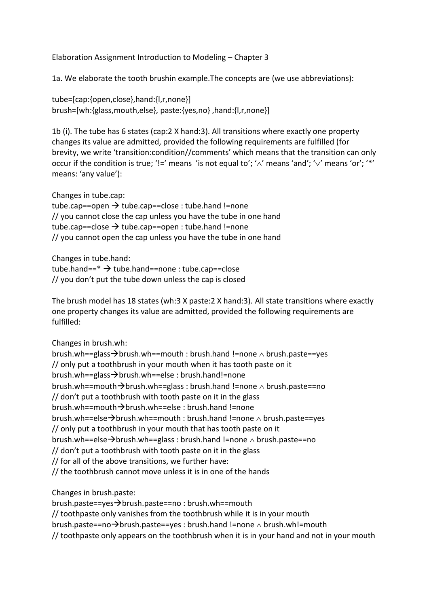Elaboration Assignment Introduction to Modeling – Chapter 3

1a. We elaborate the tooth brushin example.The concepts are (we use abbreviations):

tube=[cap:{open,close},hand:{l,r,none}] brush=[wh:{glass,mouth,else}, paste:{yes,no} ,hand:{l,r,none}]

1b (i). The tube has 6 states (cap:2 X hand:3). All transitions where exactly one property changes its value are admitted, provided the following requirements are fulfilled (for brevity, we write 'transition:condition//comments' which means that the transition can only occur if the condition is true; '!=' means 'is not equal to'; ' $\wedge$ ' means 'and'; ' $\vee$ ' means 'or'; '\*' means: 'any value'):

Changes in tube.cap:

tube.cap==open  $\rightarrow$  tube.cap==close : tube.hand !=none // you cannot close the cap unless you have the tube in one hand tube.cap==close  $\rightarrow$  tube.cap==open : tube.hand !=none // you cannot open the cap unless you have the tube in one hand

Changes in tube.hand:

tube.hand== $*$   $\rightarrow$  tube.hand==none : tube.cap==close // you don't put the tube down unless the cap is closed

The brush model has 18 states (wh:3 X paste:2 X hand:3). All state transitions where exactly one property changes its value are admitted, provided the following requirements are fulfilled:

Changes in brush.wh:

brush.wh==glass $\rightarrow$ brush.wh==mouth : brush.hand !=none  $\land$  brush.paste==yes // only put a toothbrush in your mouth when it has tooth paste on it brush.wh==glass $\rightarrow$ brush.wh==else : brush.hand!=none brush.wh==mouth $\rightarrow$ brush.wh==glass : brush.hand !=none  $\land$  brush.paste==no // don't put a toothbrush with tooth paste on it in the glass brush.wh==mouth $\rightarrow$ brush.wh==else : brush.hand !=none brush.wh==else $\rightarrow$ brush.wh==mouth : brush.hand !=none  $\land$  brush.paste==yes // only put a toothbrush in your mouth that has tooth paste on it brush.wh==else $\rightarrow$ brush.wh==glass : brush.hand !=none  $\land$  brush.paste==no // don't put a toothbrush with tooth paste on it in the glass // for all of the above transitions, we further have: // the toothbrush cannot move unless it is in one of the hands

Changes in brush.paste:

brush.paste==yes->brush.paste==no : brush.wh==mouth // toothpaste only vanishes from the toothbrush while it is in your mouth

brush.paste==no $\rightarrow$ brush.paste==yes : brush.hand !=none  $\land$  brush.wh!=mouth

// toothpaste only appears on the toothbrush when it is in your hand and not in your mouth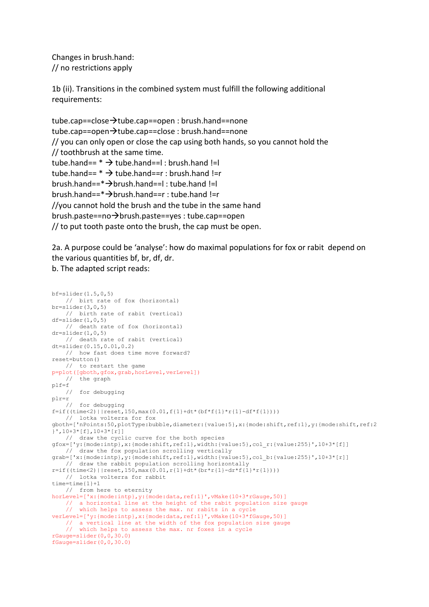Changes in brush.hand: // no restrictions apply

1b (ii). Transitions in the combined system must fulfill the following additional requirements:

tube.cap==close $\rightarrow$ tube.cap==open : brush.hand==none tube.cap==open $\rightarrow$ tube.cap==close : brush.hand==none // you can only open or close the cap using both hands, so you cannot hold the // toothbrush at the same time. tube.hand== $*$   $\rightarrow$  tube.hand==l : brush.hand !=l tube.hand== $*$   $\rightarrow$  tube.hand==r : brush.hand !=r brush.hand== $*\rightarrow$ brush.hand==l : tube.hand !=l brush.hand==\*brush.hand==r : tube.hand !=r //you cannot hold the brush and the tube in the same hand brush.paste==no $\rightarrow$ brush.paste==yes : tube.cap==open // to put tooth paste onto the brush, the cap must be open.

2a. A purpose could be 'analyse': how do maximal populations for fox or rabit depend on the various quantities bf, br, df, dr.

b. The adapted script reads:

```
bf=slider(1.5,0,5)
    // birt rate of fox (horizontal) 
br=slider(3,0,5) // birth rate of rabit (vertical) 
df=slider(1,0,5) // death rate of fox (horizontal) 
dr=slider(1,0,5)
      death rate of rabit (vertical)
dt=slider(0.15,0.01,0.2)
    // how fast does time move forward? 
reset=button()
    // to restart the game 
p=plot([gboth,gfox,grab,horLevel,verLevel])
     // the graph 
p \mid f = f // for debugging 
plr=r
     // for debugging 
f=if((time<2) || reset, 150, max(0.01, f{1}+dt*(bf*f{1})*r{1}-df*f{1})))lotka volterra for fox
gboth=['nPoints:50,plotType:bubble,diameter:{value:5},x:{mode:shift,ref:1},y:{mode:shift,ref:2
[1, 10+3*[f], 10+3*[f]] // draw the cyclic curve for the both species 
gfox=['y:{mode:intp},x:{mode:shift,ref:1},width:{value:5},col_r:{value:255}',10+3*[f]]
     // draw the fox population scrolling vertically 
grab=['x:{mode:intp},y:{mode:shift,ref:1},width:{value:5},col_b:{value:255}',10+3*[r]]
    // draw the rabbit population scrolling horizontally 
r=if((time<2) ||reset, 150, max(0.01, r{1}+dt*(br*r{1}-dr*f{1}*r{1}))) // lotka volterra for rabbit 
time=time{1}+1
     // from here to eternity 
horLevel=['x:{mode:intp},y:{mode:data,ref:1}',vMake(10+3*rGauge,50)]
 // a horizontal line at the height of the rabit population size gauge
 // which helps to assess the max. nr rabits in a cycle 
verLevel=['y:{mode:intp},x:{mode:data,ref:1}',vMake(10+3*fGauge,50)]
 // a vertical line at the width of the fox population size gauge
 // which helps to assess the max. nr foxes in a cycle 
rGauge=slider(0,0,30.0) 
fGauge=slider(0,0,30.0)
```